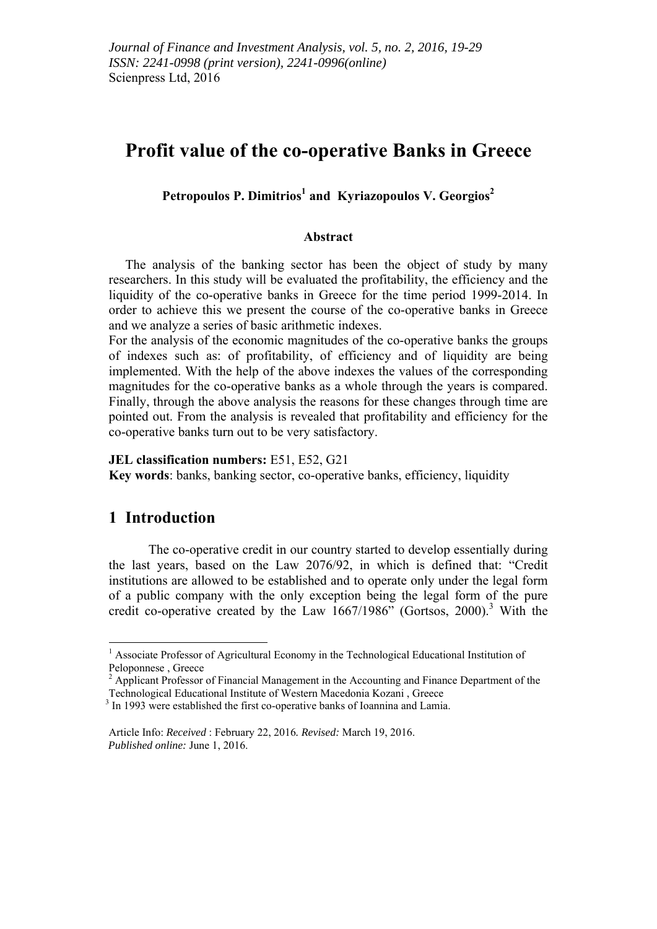# **Profit value of the co-operative Banks in Greece**

**Petropoulos P. Dimitrios<sup>1</sup> and Kyriazopoulos V. Georgios2**

#### **Abstract**

 The analysis of the banking sector has been the object of study by many researchers. In this study will be evaluated the profitability, the efficiency and the liquidity of the co-operative banks in Greece for the time period 1999-2014. In order to achieve this we present the course of the co-operative banks in Greece and we analyze a series of basic arithmetic indexes.

For the analysis of the economic magnitudes of the co-operative banks the groups of indexes such as: of profitability, of efficiency and of liquidity are being implemented. With the help of the above indexes the values of the corresponding magnitudes for the co-operative banks as a whole through the years is compared. Finally, through the above analysis the reasons for these changes through time are pointed out. From the analysis is revealed that profitability and efficiency for the co-operative banks turn out to be very satisfactory.

#### **JEL classification numbers:** E51, E52, G21

**Key words**: banks, banking sector, co-operative banks, efficiency, liquidity

### **1 Introduction**

<u>.</u>

The co-operative credit in our country started to develop essentially during the last years, based on the Law 2076/92, in which is defined that: "Credit institutions are allowed to be established and to operate only under the legal form of a public company with the only exception being the legal form of the pure credit co-operative created by the Law  $1667/1986$ " (Gortsos, 2000).<sup>3</sup> With the

<sup>&</sup>lt;sup>1</sup> Associate Professor of Agricultural Economy in the Technological Educational Institution of Peloponnese , Greece

 $2$  Applicant Professor of Financial Management in the Accounting and Finance Department of the Technological Educational Institute of Western Macedonia Kozani , Greece

<sup>&</sup>lt;sup>3</sup> In 1993 were established the first co-operative banks of Ioannina and Lamia.

Article Info: *Received* : February 22, 2016*. Revised:* March 19, 2016. *Published online:* June 1, 2016.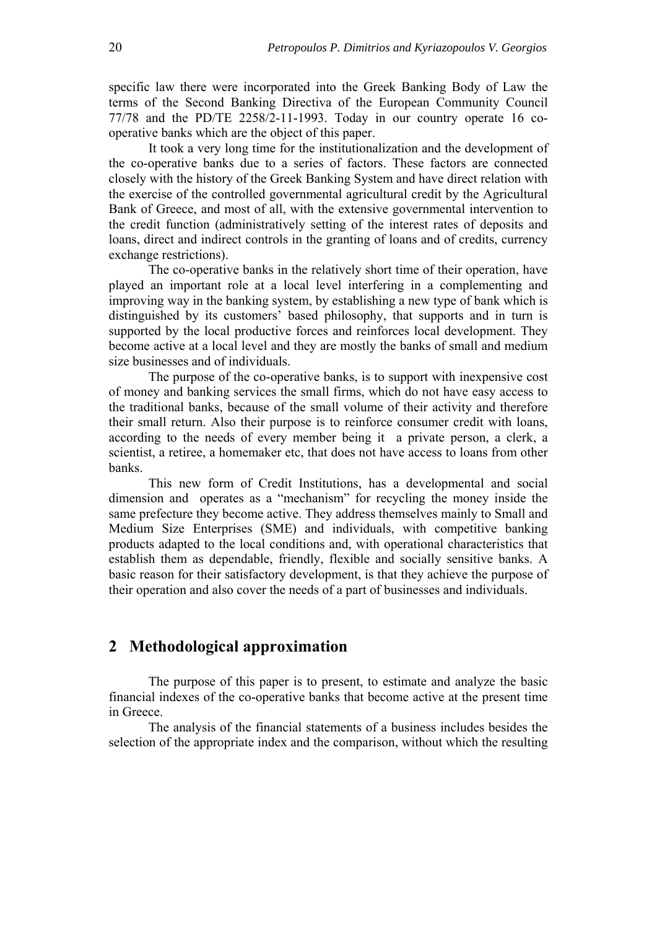specific law there were incorporated into the Greek Banking Body of Law the terms of the Second Banking Directiva of the European Community Council 77/78 and the PD/ΤΕ 2258/2-11-1993. Today in our country operate 16 cooperative banks which are the object of this paper.

It took a very long time for the institutionalization and the development of the co-operative banks due to a series of factors. These factors are connected closely with the history of the Greek Banking System and have direct relation with the exercise of the controlled governmental agricultural credit by the Agricultural Bank of Greece, and most of all, with the extensive governmental intervention to the credit function (administratively setting of the interest rates of deposits and loans, direct and indirect controls in the granting of loans and of credits, currency exchange restrictions).

The co-operative banks in the relatively short time of their operation, have played an important role at a local level interfering in a complementing and improving way in the banking system, by establishing a new type of bank which is distinguished by its customers' based philosophy, that supports and in turn is supported by the local productive forces and reinforces local development. They become active at a local level and they are mostly the banks of small and medium size businesses and of individuals.

The purpose of the co-operative banks, is to support with inexpensive cost of money and banking services the small firms, which do not have easy access to the traditional banks, because of the small volume of their activity and therefore their small return. Also their purpose is to reinforce consumer credit with loans, according to the needs of every member being it a private person, a clerk, a scientist, a retiree, a homemaker etc, that does not have access to loans from other banks.

This new form of Credit Institutions, has a developmental and social dimension and operates as a "mechanism" for recycling the money inside the same prefecture they become active. They address themselves mainly to Small and Medium Size Enterprises (SME) and individuals, with competitive banking products adapted to the local conditions and, with operational characteristics that establish them as dependable, friendly, flexible and socially sensitive banks. A basic reason for their satisfactory development, is that they achieve the purpose of their operation and also cover the needs of a part of businesses and individuals.

### **2 Methodological approximation**

The purpose of this paper is to present, to estimate and analyze the basic financial indexes of the co-operative banks that become active at the present time in Greece.

The analysis of the financial statements of a business includes besides the selection of the appropriate index and the comparison, without which the resulting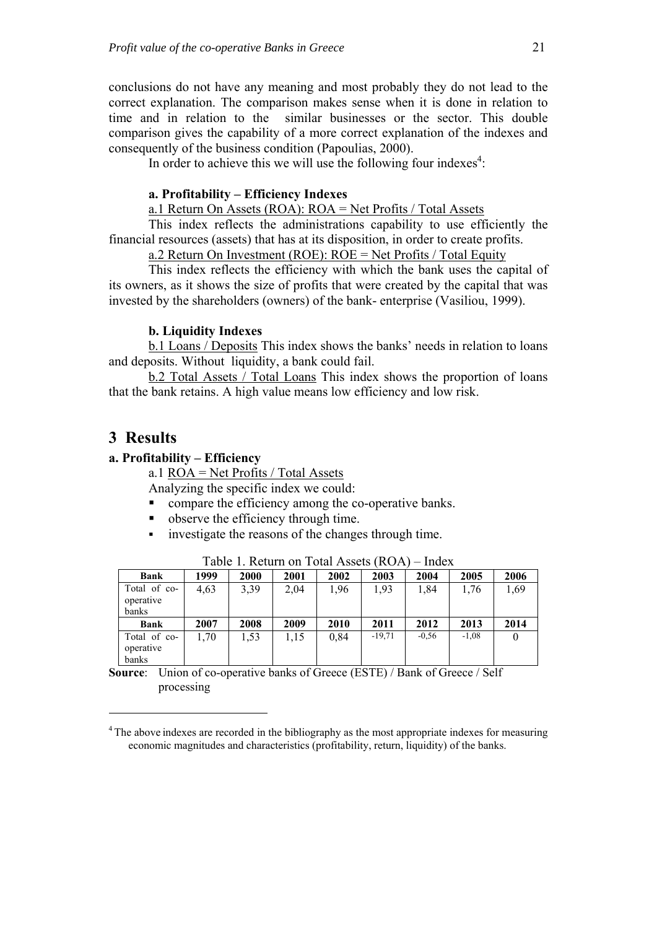conclusions do not have any meaning and most probably they do not lead to the correct explanation. The comparison makes sense when it is done in relation to time and in relation to the similar businesses or the sector. This double comparison gives the capability of a more correct explanation of the indexes and consequently of the business condition (Papoulias, 2000).

In order to achieve this we will use the following four indexes<sup>4</sup>:

#### **a. Profitability – Efficiency Indexes**

a.1 Return On Assets (ROA): ROA = Net Profits / Total Assets

This index reflects the administrations capability to use efficiently the financial resources (assets) that has at its disposition, in order to create profits.

a.2 Return On Investment (ROE): ROE = Net Profits / Total Equity

This index reflects the efficiency with which the bank uses the capital of its owners, as it shows the size of profits that were created by the capital that was invested by the shareholders (owners) of the bank- enterprise (Vasiliou, 1999).

#### **b. Liquidity Indexes**

b.1 Loans / Deposits This index shows the banks' needs in relation to loans and deposits. Without liquidity, a bank could fail.

b.2 Total Assets / Total Loans This index shows the proportion of loans that the bank retains. A high value means low efficiency and low risk.

## **3 Results**

<u>.</u>

#### **a. Profitability – Efficiency**

a.1 ROA = Net Profits / Total Assets

Analyzing the specific index we could:

- **•** compare the efficiency among the co-operative banks.
- observe the efficiency through time.
- investigate the reasons of the changes through time.

| <b>Bank</b>               | 1999 | 2000 | 2001 | 2002 | 2003     | 2004    | 2005    | 2006 |
|---------------------------|------|------|------|------|----------|---------|---------|------|
| Total of co-<br>operative | 4,63 | 3,39 | 2,04 | 1,96 | 1,93     | 1,84    | 1,76    | 1,69 |
| banks                     |      |      |      |      |          |         |         |      |
|                           |      |      |      |      |          |         |         |      |
| <b>Bank</b>               | 2007 | 2008 | 2009 | 2010 | 2011     | 2012    | 2013    | 2014 |
| Total of co-              | 1,70 | 1,53 | 1,15 | 0,84 | $-19,71$ | $-0.56$ | $-1,08$ |      |
| operative                 |      |      |      |      |          |         |         |      |
| banks                     |      |      |      |      |          |         |         |      |

Table 1. Return on Total Assets (ROA) – Index

**Source:** Union of co-operative banks of Greece (ESTE) / Bank of Greece / Self processing

<sup>&</sup>lt;sup>4</sup> The above indexes are recorded in the bibliography as the most appropriate indexes for measuring economic magnitudes and characteristics (profitability, return, liquidity) of the banks.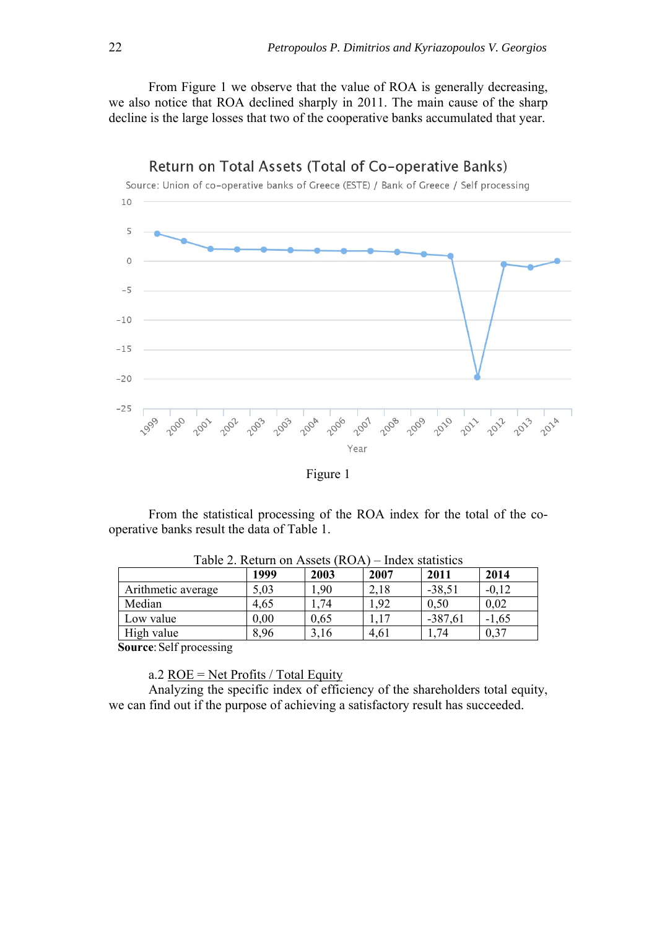From Figure 1 we observe that the value of ROA is generally decreasing, we also notice that ROA declined sharply in 2011. The main cause of the sharp decline is the large losses that two of the cooperative banks accumulated that year.



Figure 1

From the statistical processing of the ROA index for the total of the cooperative banks result the data of Table 1.

|                    | 1999 | 2003 | 2007 | 2011      | 2014    |
|--------------------|------|------|------|-----------|---------|
| Arithmetic average | 5,03 | 1,90 | 2,18 | $-38,51$  | $-0.12$ |
| Median             | 4,65 | 1,74 | 1,92 | 0,50      | 0,02    |
| Low value          | 0,00 | 0,65 |      | $-387,61$ | $-1,65$ |
| High value         | 8,96 | 3.16 | 4,61 | 74        | 0,37    |

Table 2. Return on Assets (ROA) – Index statistics

 **Source**: Self processing

a.2 ROE = Net Profits / Total Equity

Analyzing the specific index of efficiency of the shareholders total equity, we can find out if the purpose of achieving a satisfactory result has succeeded.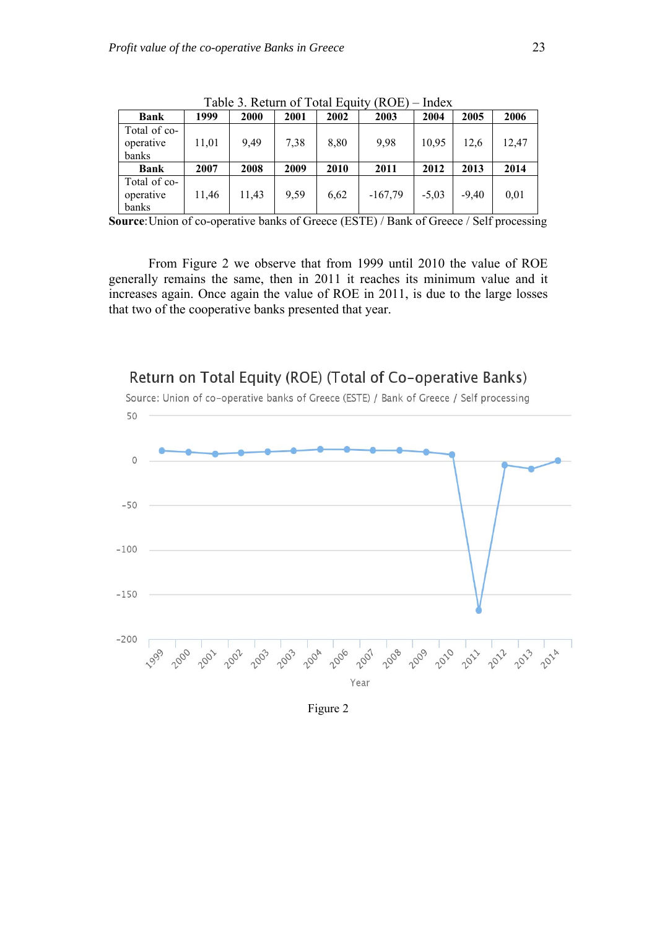|                                    |       | $100100$ $110000$ |      |      | .         |         |         |       |
|------------------------------------|-------|-------------------|------|------|-----------|---------|---------|-------|
| <b>Bank</b>                        | 1999  | <b>2000</b>       | 2001 | 2002 | 2003      | 2004    | 2005    | 2006  |
| Total of co-<br>operative<br>banks | 11,01 | 9.49              | 7,38 | 8,80 | 9,98      | 10,95   | 12,6    | 12.47 |
| <b>Bank</b>                        | 2007  | 2008              | 2009 | 2010 | 2011      | 2012    | 2013    | 2014  |
| Total of co-<br>operative<br>banks | 11,46 | 11,43             | 9.59 | 6,62 | $-167,79$ | $-5,03$ | $-9.40$ | 0,01  |

Table 3. Return of Total Equity (ROE) – Index

**Source**: Union of co-operative banks of Greece (ESTE) / Bank of Greece / Self processing

From Figure 2 we observe that from 1999 until 2010 the value of ROE generally remains the same, then in 2011 it reaches its minimum value and it increases again. Once again the value of ROE in 2011, is due to the large losses that two of the cooperative banks presented that year.



Return on Total Equity (ROE) (Total of Co-operative Banks)

Figure 2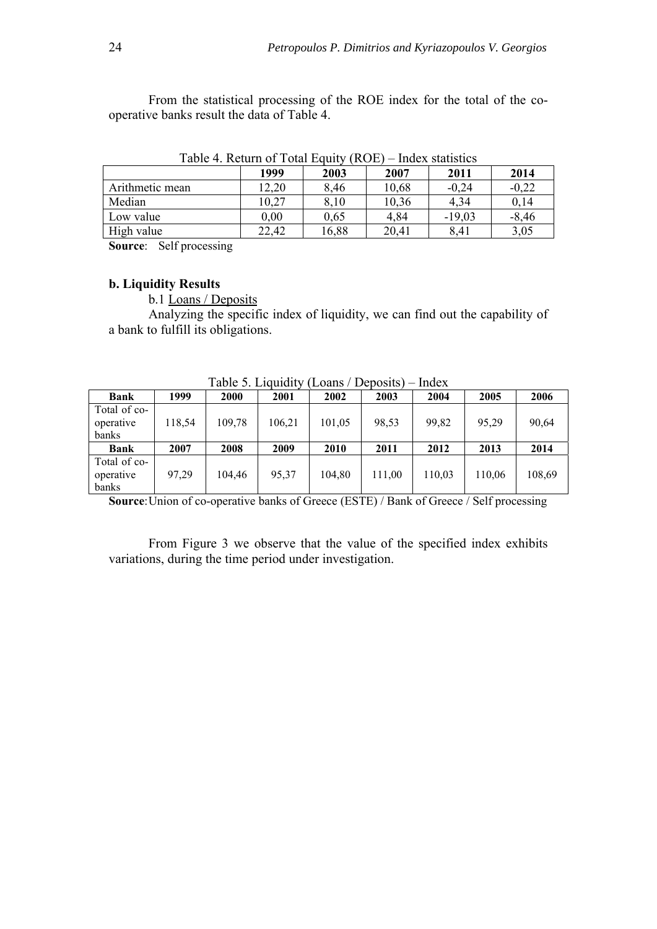From the statistical processing of the ROE index for the total of the cooperative banks result the data of Table 4.

|                 | 1999     | 2003  | 2007  | 2011     | 2014    |
|-----------------|----------|-------|-------|----------|---------|
| Arithmetic mean | 12,20    | 8,46  | 10,68 | $-0.24$  | $-0.22$ |
| Median          | 10,27    | 8,10  | 10,36 | 4,34     | 0,14    |
| Low value       | $0.00\,$ | 0,65  | 4,84  | $-19,03$ | $-8,46$ |
| High value      | 22,42    | 16,88 | 20,41 | 8,41     | 3,05    |

Table 4. Return of Total Equity (ROE) – Index statistics

**Source**: Self processing

#### **b. Liquidity Results**

b.1 Loans / Deposits

Analyzing the specific index of liquidity, we can find out the capability of a bank to fulfill its obligations.

|              |        | Tavič J. Liudidity |        | LUGIIS / DUDUSIIS |        | тичел  |        |        |
|--------------|--------|--------------------|--------|-------------------|--------|--------|--------|--------|
| Bank         | 1999   | 2000               | 2001   | 2002              | 2003   | 2004   | 2005   | 2006   |
| Total of co- |        |                    |        |                   |        |        |        |        |
| operative    | 118,54 | 109,78             | 106.21 | 101,05            | 98,53  | 99,82  | 95,29  | 90,64  |
| banks        |        |                    |        |                   |        |        |        |        |
| Bank         | 2007   | 2008               | 2009   | 2010              | 2011   | 2012   | 2013   | 2014   |
| Total of co- |        |                    |        |                   |        |        |        |        |
| operative    | 97.29  | 104.46             | 95,37  | 104,80            | 111.00 | 110,03 | 110,06 | 108,69 |
| banks        |        |                    |        |                   |        |        |        |        |

Table 5. Liquidity (Loans / Deposits) – Index

**Source**: Union of co-operative banks of Greece (ESTE) / Bank of Greece / Self processing

From Figure 3 we observe that the value of the specified index exhibits variations, during the time period under investigation.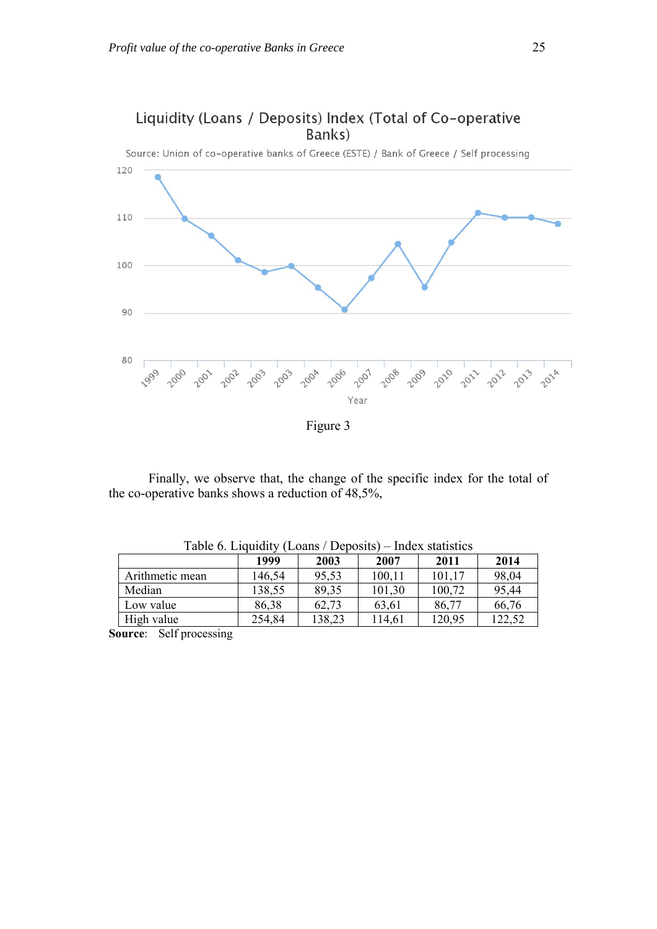

Liquidity (Loans / Deposits) Index (Total of Co-operative Banks)

Figure 3

Finally, we observe that, the change of the specific index for the total of the co-operative banks shows a reduction of 48,5%,

|                 | 1999   | 2003   | 2007   | 2011   | 2014   |
|-----------------|--------|--------|--------|--------|--------|
| Arithmetic mean | 146,54 | 95,53  | 100,11 | 101,17 | 98,04  |
| Median          | 138,55 | 89,35  | 101.30 | 100,72 | 95,44  |
| Low value       | 86,38  | 62,73  | 63.61  | 86,77  | 66,76  |
| High value      | 254,84 | 138,23 | 114,61 | 120,95 | 122,52 |

Table 6. Liquidity (Loans / Deposits) – Index statistics

**Source**: Self processing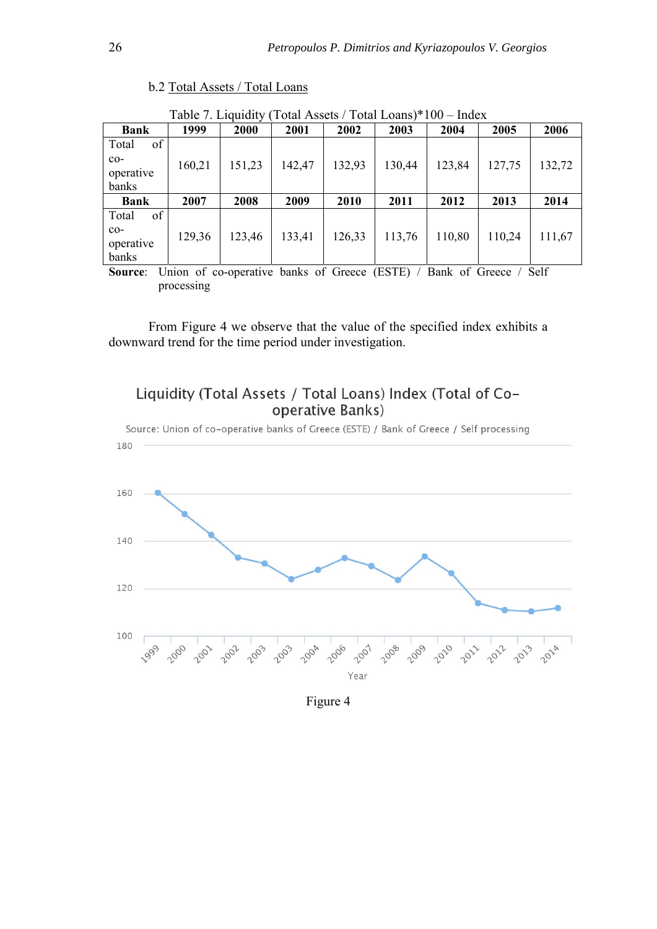|                    |        | Table 7. Liquidity (Total Assets / Total Loans)*T00 – Index |        |        |        |        |        |        |
|--------------------|--------|-------------------------------------------------------------|--------|--------|--------|--------|--------|--------|
| Bank               | 1999   | <b>2000</b>                                                 | 2001   | 2002   | 2003   | 2004   | 2005   | 2006   |
| of<br>Total        |        |                                                             |        |        |        |        |        |        |
| $co-$              | 160,21 | 151,23                                                      | 142,47 | 132,93 | 130,44 | 123,84 | 127,75 | 132,72 |
| operative          |        |                                                             |        |        |        |        |        |        |
| banks              |        |                                                             |        |        |        |        |        |        |
| Bank               | 2007   | 2008                                                        | 2009   | 2010   | 2011   | 2012   | 2013   | 2014   |
| of                 |        |                                                             |        |        |        |        |        |        |
| Total              |        |                                                             |        |        |        |        |        |        |
| $co-$              |        |                                                             |        |        |        |        |        |        |
| operative<br>banks | 129,36 | 123,46                                                      | 133,41 | 126,33 | 113,76 | 110,80 | 110,24 | 111,67 |

b.2 Total Assets / Total Loans

 $Table 7.$  Liquidity (Total Assets / Total Loans)\*100

**Source**: Union of co-operative banks of Greece (ESTE) / Bank of Greece / Self processing

From Figure 4 we observe that the value of the specified index exhibits a downward trend for the time period under investigation.





Figure 4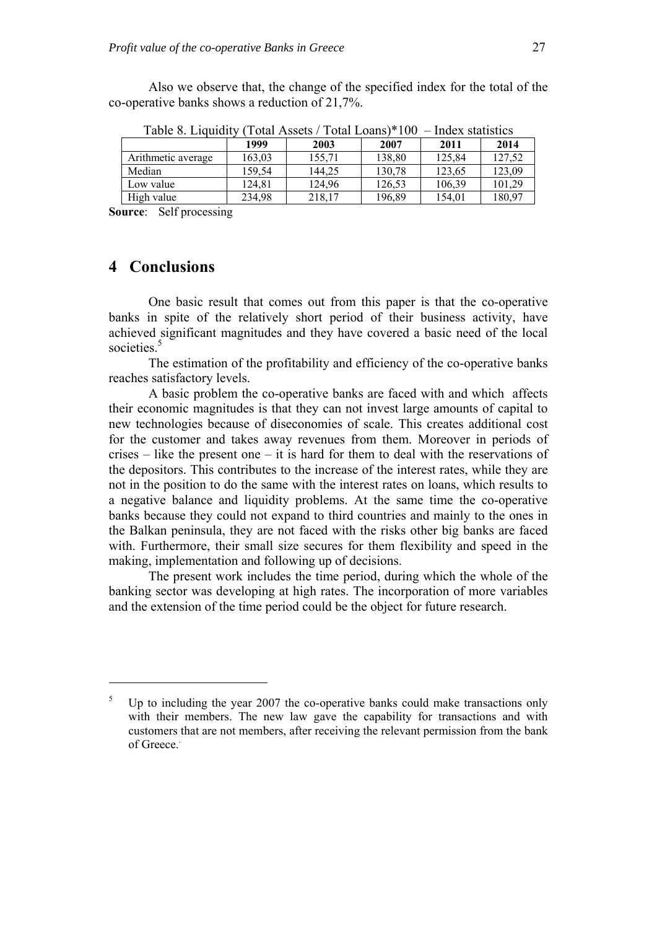Also we observe that, the change of the specified index for the total of the co-operative banks shows a reduction of 21,7%.

| $100100$ . $1100101$<br>1 0 km / 100 0 kg / 1 0 km Louillo<br>. |        |        |        |        |        |  |
|-----------------------------------------------------------------|--------|--------|--------|--------|--------|--|
|                                                                 | 1999   | 2003   | 2007   | 2011   | 2014   |  |
| Arithmetic average                                              | 163.03 | 155,71 | 138,80 | 125,84 | 127,52 |  |
| Median                                                          | 159,54 | 144.25 | 130,78 | 123,65 | 123,09 |  |
| Low value                                                       | 124.81 | 124.96 | 126,53 | 106,39 | 101.29 |  |
| High value                                                      | 234,98 | 218,17 | 196,89 | 154.01 | 180,97 |  |

Table 8. Liquidity (Total Assets / Total Loans)\*100 – Index statistics

**Source**: Self processing

## **4 Conclusions**

1

One basic result that comes out from this paper is that the co-operative banks in spite of the relatively short period of their business activity, have achieved significant magnitudes and they have covered a basic need of the local societies.<sup>5</sup>

The estimation of the profitability and efficiency of the co-operative banks reaches satisfactory levels.

A basic problem the co-operative banks are faced with and which affects their economic magnitudes is that they can not invest large amounts of capital to new technologies because of diseconomies of scale. This creates additional cost for the customer and takes away revenues from them. Moreover in periods of crises – like the present one – it is hard for them to deal with the reservations of the depositors. This contributes to the increase of the interest rates, while they are not in the position to do the same with the interest rates on loans, which results to a negative balance and liquidity problems. At the same time the co-operative banks because they could not expand to third countries and mainly to the ones in the Balkan peninsula, they are not faced with the risks other big banks are faced with. Furthermore, their small size secures for them flexibility and speed in the making, implementation and following up of decisions.

The present work includes the time period, during which the whole of the banking sector was developing at high rates. The incorporation of more variables and the extension of the time period could be the object for future research.

 $5$  Up to including the year 2007 the co-operative banks could make transactions only with their members. The new law gave the capability for transactions and with customers that are not members, after receiving the relevant permission from the bank of Greece..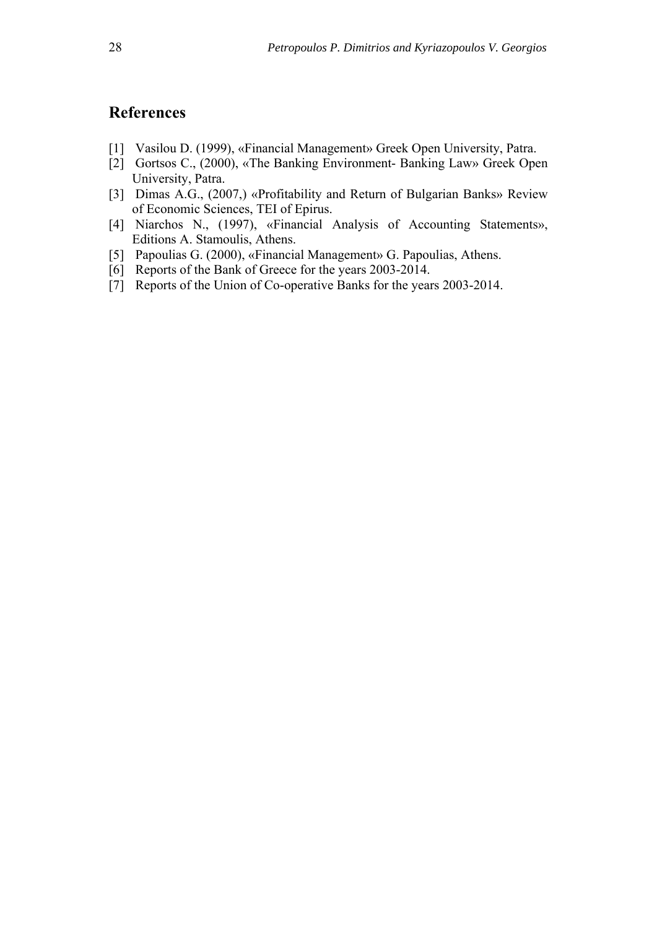# **References**

- [1] Vasilou D. (1999), «Financial Management» Greek Open University, Patra.
- [2] Gortsos C., (2000), «The Banking Environment- Banking Law» Greek Open University, Patra.
- [3] Dimas A.G., (2007,) «Profitability and Return of Bulgarian Banks» Review of Economic Sciences, TEI of Epirus.
- [4] Niarchos N., (1997), «Financial Analysis of Accounting Statements», Editions A. Stamoulis, Athens.
- [5] Papoulias G. (2000), «Financial Management» G. Papoulias, Athens.
- [6] Reports of the Bank of Greece for the years 2003-2014.
- [7] Reports of the Union of Co-operative Banks for the years 2003-2014.